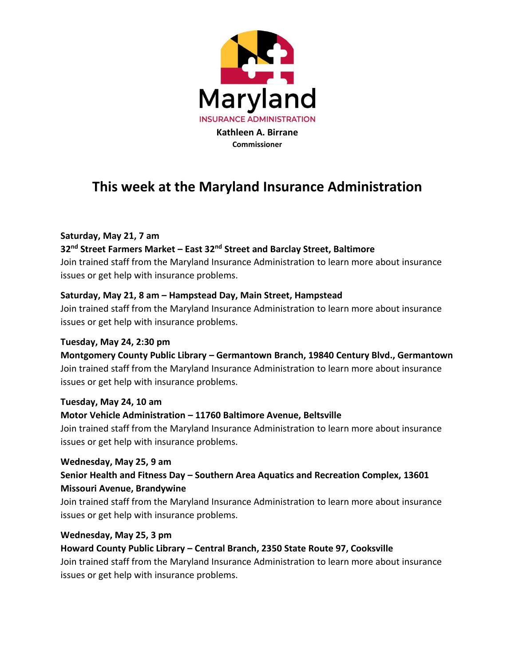

# **This week at the Maryland Insurance Administration**

# **Saturday, May 21, 7 am**

## **32nd Street Farmers Market – East 32nd Street and Barclay Street, Baltimore**

Join trained staff from the Maryland Insurance Administration to learn more about insurance issues or get help with insurance problems.

## **Saturday, May 21, 8 am – Hampstead Day, Main Street, Hampstead**

Join trained staff from the Maryland Insurance Administration to learn more about insurance issues or get help with insurance problems.

# **Tuesday, May 24, 2:30 pm**

**Montgomery County Public Library – Germantown Branch, 19840 Century Blvd., Germantown** Join trained staff from the Maryland Insurance Administration to learn more about insurance issues or get help with insurance problems.

#### **Tuesday, May 24, 10 am**

#### **Motor Vehicle Administration – 11760 Baltimore Avenue, Beltsville**

Join trained staff from the Maryland Insurance Administration to learn more about insurance issues or get help with insurance problems.

#### **Wednesday, May 25, 9 am**

# **Senior Health and Fitness Day – Southern Area Aquatics and Recreation Complex, 13601 Missouri Avenue, Brandywine**

Join trained staff from the Maryland Insurance Administration to learn more about insurance issues or get help with insurance problems.

#### **Wednesday, May 25, 3 pm**

**Howard County Public Library – Central Branch, 2350 State Route 97, Cooksville** Join trained staff from the Maryland Insurance Administration to learn more about insurance issues or get help with insurance problems.